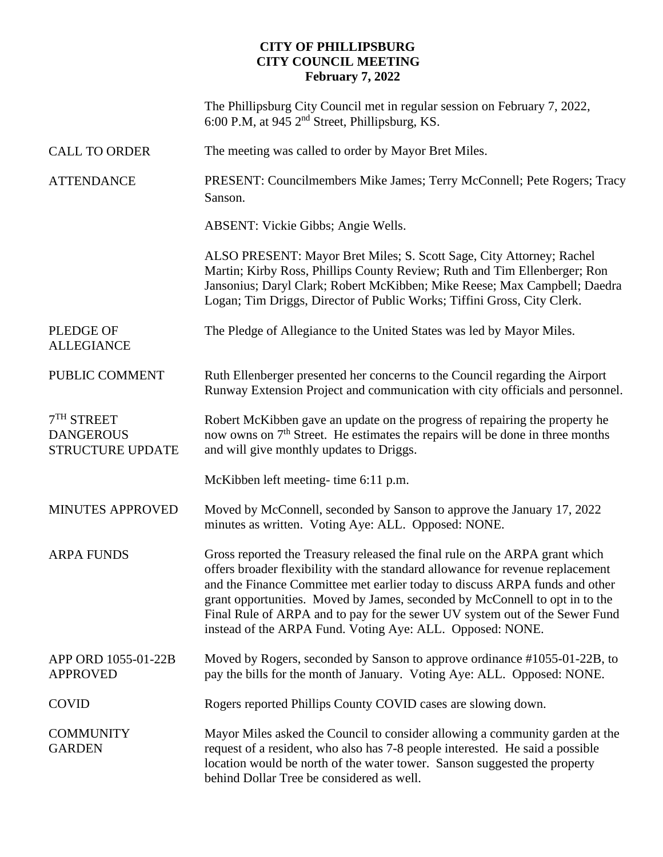## **CITY OF PHILLIPSBURG CITY COUNCIL MEETING February 7, 2022**

|                                                      | The Phillipsburg City Council met in regular session on February 7, 2022,<br>6:00 P.M, at 945 $2nd$ Street, Phillipsburg, KS.                                                                                                                                                                                                                                                                                                                                           |
|------------------------------------------------------|-------------------------------------------------------------------------------------------------------------------------------------------------------------------------------------------------------------------------------------------------------------------------------------------------------------------------------------------------------------------------------------------------------------------------------------------------------------------------|
| <b>CALL TO ORDER</b>                                 | The meeting was called to order by Mayor Bret Miles.                                                                                                                                                                                                                                                                                                                                                                                                                    |
| <b>ATTENDANCE</b>                                    | PRESENT: Councilmembers Mike James; Terry McConnell; Pete Rogers; Tracy<br>Sanson.                                                                                                                                                                                                                                                                                                                                                                                      |
|                                                      | ABSENT: Vickie Gibbs; Angie Wells.                                                                                                                                                                                                                                                                                                                                                                                                                                      |
|                                                      | ALSO PRESENT: Mayor Bret Miles; S. Scott Sage, City Attorney; Rachel<br>Martin; Kirby Ross, Phillips County Review; Ruth and Tim Ellenberger; Ron<br>Jansonius; Daryl Clark; Robert McKibben; Mike Reese; Max Campbell; Daedra<br>Logan; Tim Driggs, Director of Public Works; Tiffini Gross, City Clerk.                                                                                                                                                               |
| <b>PLEDGE OF</b><br><b>ALLEGIANCE</b>                | The Pledge of Allegiance to the United States was led by Mayor Miles.                                                                                                                                                                                                                                                                                                                                                                                                   |
| PUBLIC COMMENT                                       | Ruth Ellenberger presented her concerns to the Council regarding the Airport<br>Runway Extension Project and communication with city officials and personnel.                                                                                                                                                                                                                                                                                                           |
| $7TH$ STREET<br><b>DANGEROUS</b><br>STRUCTURE UPDATE | Robert McKibben gave an update on the progress of repairing the property he<br>now owns on 7 <sup>th</sup> Street. He estimates the repairs will be done in three months<br>and will give monthly updates to Driggs.                                                                                                                                                                                                                                                    |
|                                                      | McKibben left meeting-time 6:11 p.m.                                                                                                                                                                                                                                                                                                                                                                                                                                    |
| <b>MINUTES APPROVED</b>                              | Moved by McConnell, seconded by Sanson to approve the January 17, 2022<br>minutes as written. Voting Aye: ALL. Opposed: NONE.                                                                                                                                                                                                                                                                                                                                           |
| <b>ARPA FUNDS</b>                                    | Gross reported the Treasury released the final rule on the ARPA grant which<br>offers broader flexibility with the standard allowance for revenue replacement<br>and the Finance Committee met earlier today to discuss ARPA funds and other<br>grant opportunities. Moved by James, seconded by McConnell to opt in to the<br>Final Rule of ARPA and to pay for the sewer UV system out of the Sewer Fund<br>instead of the ARPA Fund. Voting Aye: ALL. Opposed: NONE. |
| APP ORD 1055-01-22B<br><b>APPROVED</b>               | Moved by Rogers, seconded by Sanson to approve ordinance #1055-01-22B, to<br>pay the bills for the month of January. Voting Aye: ALL. Opposed: NONE.                                                                                                                                                                                                                                                                                                                    |
| <b>COVID</b>                                         | Rogers reported Phillips County COVID cases are slowing down.                                                                                                                                                                                                                                                                                                                                                                                                           |
| <b>COMMUNITY</b><br><b>GARDEN</b>                    | Mayor Miles asked the Council to consider allowing a community garden at the<br>request of a resident, who also has 7-8 people interested. He said a possible<br>location would be north of the water tower. Sanson suggested the property<br>behind Dollar Tree be considered as well.                                                                                                                                                                                 |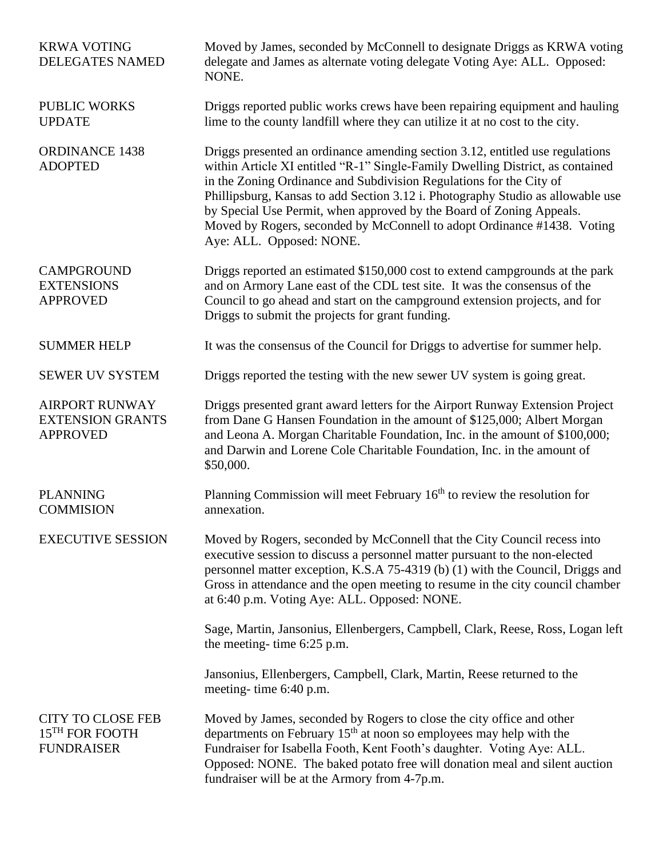| <b>KRWA VOTING</b><br><b>DELEGATES NAMED</b>                                | Moved by James, seconded by McConnell to designate Driggs as KRWA voting<br>delegate and James as alternate voting delegate Voting Aye: ALL. Opposed:<br>NONE.                                                                                                                                                                                                                                                                                                                                           |
|-----------------------------------------------------------------------------|----------------------------------------------------------------------------------------------------------------------------------------------------------------------------------------------------------------------------------------------------------------------------------------------------------------------------------------------------------------------------------------------------------------------------------------------------------------------------------------------------------|
| <b>PUBLIC WORKS</b><br><b>UPDATE</b>                                        | Driggs reported public works crews have been repairing equipment and hauling<br>lime to the county landfill where they can utilize it at no cost to the city.                                                                                                                                                                                                                                                                                                                                            |
| <b>ORDINANCE 1438</b><br><b>ADOPTED</b>                                     | Driggs presented an ordinance amending section 3.12, entitled use regulations<br>within Article XI entitled "R-1" Single-Family Dwelling District, as contained<br>in the Zoning Ordinance and Subdivision Regulations for the City of<br>Phillipsburg, Kansas to add Section 3.12 i. Photography Studio as allowable use<br>by Special Use Permit, when approved by the Board of Zoning Appeals.<br>Moved by Rogers, seconded by McConnell to adopt Ordinance #1438. Voting<br>Aye: ALL. Opposed: NONE. |
| <b>CAMPGROUND</b><br><b>EXTENSIONS</b><br><b>APPROVED</b>                   | Driggs reported an estimated \$150,000 cost to extend campgrounds at the park<br>and on Armory Lane east of the CDL test site. It was the consensus of the<br>Council to go ahead and start on the campground extension projects, and for<br>Driggs to submit the projects for grant funding.                                                                                                                                                                                                            |
| <b>SUMMER HELP</b>                                                          | It was the consensus of the Council for Driggs to advertise for summer help.                                                                                                                                                                                                                                                                                                                                                                                                                             |
| <b>SEWER UV SYSTEM</b>                                                      | Driggs reported the testing with the new sewer UV system is going great.                                                                                                                                                                                                                                                                                                                                                                                                                                 |
| <b>AIRPORT RUNWAY</b><br><b>EXTENSION GRANTS</b><br><b>APPROVED</b>         | Driggs presented grant award letters for the Airport Runway Extension Project<br>from Dane G Hansen Foundation in the amount of \$125,000; Albert Morgan<br>and Leona A. Morgan Charitable Foundation, Inc. in the amount of \$100,000;<br>and Darwin and Lorene Cole Charitable Foundation, Inc. in the amount of<br>\$50,000.                                                                                                                                                                          |
| <b>PLANNING</b><br><b>COMMISION</b>                                         | Planning Commission will meet February $16th$ to review the resolution for<br>annexation.                                                                                                                                                                                                                                                                                                                                                                                                                |
| <b>EXECUTIVE SESSION</b>                                                    | Moved by Rogers, seconded by McConnell that the City Council recess into<br>executive session to discuss a personnel matter pursuant to the non-elected<br>personnel matter exception, K.S.A 75-4319 (b) (1) with the Council, Driggs and<br>Gross in attendance and the open meeting to resume in the city council chamber<br>at 6:40 p.m. Voting Aye: ALL. Opposed: NONE.                                                                                                                              |
|                                                                             | Sage, Martin, Jansonius, Ellenbergers, Campbell, Clark, Reese, Ross, Logan left<br>the meeting- time 6:25 p.m.                                                                                                                                                                                                                                                                                                                                                                                           |
|                                                                             | Jansonius, Ellenbergers, Campbell, Clark, Martin, Reese returned to the<br>meeting- time 6:40 p.m.                                                                                                                                                                                                                                                                                                                                                                                                       |
| <b>CITY TO CLOSE FEB</b><br>15 <sup>TH</sup> FOR FOOTH<br><b>FUNDRAISER</b> | Moved by James, seconded by Rogers to close the city office and other<br>departments on February 15 <sup>th</sup> at noon so employees may help with the<br>Fundraiser for Isabella Footh, Kent Footh's daughter. Voting Aye: ALL.<br>Opposed: NONE. The baked potato free will donation meal and silent auction<br>fundraiser will be at the Armory from 4-7p.m.                                                                                                                                        |